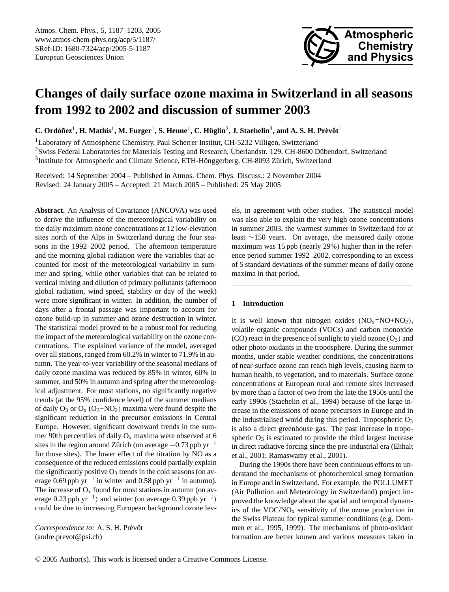

# **Changes of daily surface ozone maxima in Switzerland in all seasons from 1992 to 2002 and discussion of summer 2003**

 $C$ . Ordóñez<sup>1</sup>, H. Mathis<sup>1</sup>, M. Furger<sup>1</sup>, S. Henne<sup>1</sup>, C. Hüglin<sup>2</sup>, J. Staehelin<sup>3</sup>, and A. S. H. Prévôt<sup>1</sup>

<sup>1</sup>Laboratory of Atmospheric Chemistry, Paul Scherrer Institut, CH-5232 Villigen, Switzerland  $2$ Swiss Federal Laboratories for Materials Testing and Research, Überlandstr. 129, CH-8600 Dübendorf, Switzerland  $3$ Institute for Atmospheric and Climate Science, ETH-Hönggerberg, CH-8093 Zürich, Switzerland

Received: 14 September 2004 – Published in Atmos. Chem. Phys. Discuss.: 2 November 2004 Revised: 24 January 2005 – Accepted: 21 March 2005 – Published: 25 May 2005

**Abstract.** An Analysis of Covariance (ANCOVA) was used to derive the influence of the meteorological variability on the daily maximum ozone concentrations at 12 low-elevation sites north of the Alps in Switzerland during the four seasons in the 1992–2002 period. The afternoon temperature and the morning global radiation were the variables that accounted for most of the meteorological variability in summer and spring, while other variables that can be related to vertical mixing and dilution of primary pollutants (afternoon global radiation, wind speed, stability or day of the week) were more significant in winter. In addition, the number of days after a frontal passage was important to account for ozone build-up in summer and ozone destruction in winter. The statistical model proved to be a robust tool for reducing the impact of the meteorological variability on the ozone concentrations. The explained variance of the model, averaged over all stations, ranged from 60.2% in winter to 71.9% in autumn. The year-to-year variability of the seasonal medians of daily ozone maxima was reduced by 85% in winter, 60% in summer, and 50% in autumn and spring after the meteorological adjustment. For most stations, no significantly negative trends (at the 95% confidence level) of the summer medians of daily  $O_3$  or  $O_x (O_3 + NO_2)$  maxima were found despite the significant reduction in the precursor emissions in Central Europe. However, significant downward trends in the summer 90th percentiles of daily  $O_x$  maxima were observed at 6 sites in the region around Zürich (on average  $-0.73$  ppb yr<sup>-1</sup> for those sites). The lower effect of the titration by NO as a consequence of the reduced emissions could partially explain the significantly positive  $O_3$  trends in the cold seasons (on average 0.69 ppb yr<sup>-1</sup> in winter and 0.58 ppb yr<sup>-1</sup> in autumn). The increase of  $O_x$  found for most stations in autumn (on average 0.23 ppb yr<sup>-1</sup>) and winter (on average 0.39 ppb yr<sup>-1</sup>) could be due to increasing European background ozone levels, in agreement with other studies. The statistical model was also able to explain the very high ozone concentrations in summer 2003, the warmest summer in Switzerland for at least ∼150 years. On average, the measured daily ozone maximum was 15 ppb (nearly 29%) higher than in the reference period summer 1992–2002, corresponding to an excess of 5 standard deviations of the summer means of daily ozone maxima in that period.

# **1 Introduction**

It is well known that nitrogen oxides  $(NO<sub>x</sub>=NO+NO<sub>2</sub>)$ , volatile organic compounds (VOCs) and carbon monoxide  $(CO)$  react in the presence of sunlight to yield ozone  $(O_3)$  and other photo-oxidants in the troposphere. During the summer months, under stable weather conditions, the concentrations of near-surface ozone can reach high levels, causing harm to human health, to vegetation, and to materials. Surface ozone concentrations at European rural and remote sites increased by more than a factor of two from the late the 1950s until the early 1990s (Staehelin et al., 1994) because of the large increase in the emissions of ozone precursors in Europe and in the industrialised world during this period. Tropospheric  $O_3$ is also a direct greenhouse gas. The past increase in tropospheric  $O_3$  is estimated to provide the third largest increase in direct radiative forcing since the pre-industrial era (Ehhalt et al., 2001; Ramaswamy et al., 2001).

During the 1990s there have been continuous efforts to understand the mechanisms of photochemical smog formation in Europe and in Switzerland. For example, the POLLUMET (Air Pollution and Meteorology in Switzerland) project improved the knowledge about the spatial and temporal dynamics of the VOC/NO<sub>x</sub> sensitivity of the ozone production in the Swiss Plateau for typical summer conditions (e.g. Dommen et al., 1995, 1999). The mechanisms of photo-oxidant formation are better known and various measures taken in

<span id="page-0-0"></span>*Correspondence to:* A. S. H. Prévôt (andre.prevot@psi.ch)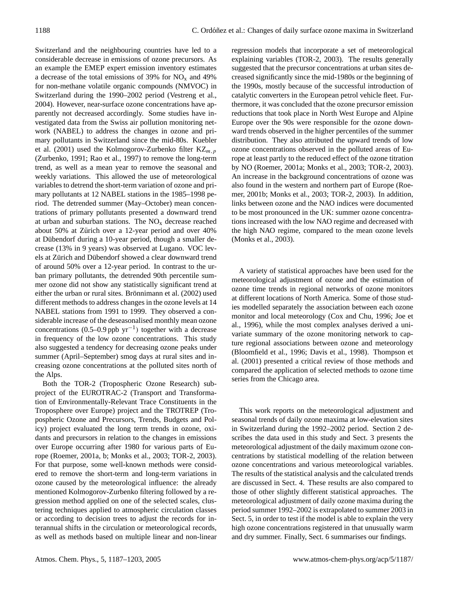Switzerland and the neighbouring countries have led to a considerable decrease in emissions of ozone precursors. As an example the EMEP expert emission inventory estimates a decrease of the total emissions of 39% for  $NO<sub>x</sub>$  and 49% for non-methane volatile organic compounds (NMVOC) in Switzerland during the 1990–2002 period (Vestreng et al., 2004). However, near-surface ozone concentrations have apparently not decreased accordingly. Some studies have investigated data from the Swiss air pollution monitoring network (NABEL) to address the changes in ozone and primary pollutants in Switzerland since the mid-80s. Kuebler et al. (2001) used the Kolmogorov-Zurbenko filter  $KZ_{m,n}$ (Zurbenko, 1991; Rao et al., 1997) to remove the long-term trend, as well as a mean year to remove the seasonal and weekly variations. This allowed the use of meteorological variables to detrend the short-term variation of ozone and primary pollutants at 12 NABEL stations in the 1985–1998 period. The detrended summer (May–October) mean concentrations of primary pollutants presented a downward trend at urban and suburban stations. The  $NO<sub>x</sub>$  decrease reached about 50% at Zürich over a 12-year period and over 40% at Dübendorf during a 10-year period, though a smaller decrease (13% in 9 years) was observed at Lugano. VOC levels at Zürich and Dübendorf showed a clear downward trend of around 50% over a 12-year period. In contrast to the urban primary pollutants, the detrended 90th percentile summer ozone did not show any statistically significant trend at either the urban or rural sites. Brönnimann et al. (2002) used different methods to address changes in the ozone levels at 14 NABEL stations from 1991 to 1999. They observed a considerable increase of the deseasonalised monthly mean ozone concentrations (0.5–0.9 ppb yr−<sup>1</sup> ) together with a decrease in frequency of the low ozone concentrations. This study also suggested a tendency for decreasing ozone peaks under summer (April–September) smog days at rural sites and increasing ozone concentrations at the polluted sites north of the Alps.

Both the TOR-2 (Tropospheric Ozone Research) subproject of the EUROTRAC-2 (Transport and Transformation of Environmentally-Relevant Trace Constituents in the Troposphere over Europe) project and the TROTREP (Tropospheric Ozone and Precursors, Trends, Budgets and Policy) project evaluated the long term trends in ozone, oxidants and precursors in relation to the changes in emissions over Europe occurring after 1980 for various parts of Europe (Roemer, 2001a, b; Monks et al., 2003; TOR-2, 2003). For that purpose, some well-known methods were considered to remove the short-term and long-term variations in ozone caused by the meteorological influence: the already mentioned Kolmogorov-Zurbenko filtering followed by a regression method applied on one of the selected scales, clustering techniques applied to atmospheric circulation classes or according to decision trees to adjust the records for interannual shifts in the circulation or meteorological records, as well as methods based on multiple linear and non-linear regression models that incorporate a set of meteorological explaining variables (TOR-2, 2003). The results generally suggested that the precursor concentrations at urban sites decreased significantly since the mid-1980s or the beginning of the 1990s, mostly because of the successful introduction of catalytic converters in the European petrol vehicle fleet. Furthermore, it was concluded that the ozone precursor emission reductions that took place in North West Europe and Alpine Europe over the 90s were responsible for the ozone downward trends observed in the higher percentiles of the summer distribution. They also attributed the upward trends of low ozone concentrations observed in the polluted areas of Europe at least partly to the reduced effect of the ozone titration by NO (Roemer, 2001a; Monks et al., 2003; TOR-2, 2003). An increase in the background concentrations of ozone was also found in the western and northern part of Europe (Roemer, 2001b; Monks et al., 2003; TOR-2, 2003). In addition, links between ozone and the NAO indices were documented to be most pronounced in the UK: summer ozone concentrations increased with the low NAO regime and decreased with the high NAO regime, compared to the mean ozone levels (Monks et al., 2003).

A variety of statistical approaches have been used for the meteorological adjustment of ozone and the estimation of ozone time trends in regional networks of ozone monitors at different locations of North America. Some of those studies modelled separately the association between each ozone monitor and local meteorology (Cox and Chu, 1996; Joe et al., 1996), while the most complex analyses derived a univariate summary of the ozone monitoring network to capture regional associations between ozone and meteorology (Bloomfield et al., 1996; Davis et al., 1998). Thompson et al. (2001) presented a critical review of those methods and compared the application of selected methods to ozone time series from the Chicago area.

This work reports on the meteorological adjustment and seasonal trends of daily ozone maxima at low-elevation sites in Switzerland during the 1992–2002 period. Section 2 describes the data used in this study and Sect. 3 presents the meteorological adjustment of the daily maximum ozone concentrations by statistical modelling of the relation between ozone concentrations and various meteorological variables. The results of the statistical analysis and the calculated trends are discussed in Sect. 4. These results are also compared to those of other slightly different statistical approaches. The meteorological adjustment of daily ozone maxima during the period summer 1992–2002 is extrapolated to summer 2003 in Sect. 5, in order to test if the model is able to explain the very high ozone concentrations registered in that unusually warm and dry summer. Finally, Sect. 6 summarises our findings.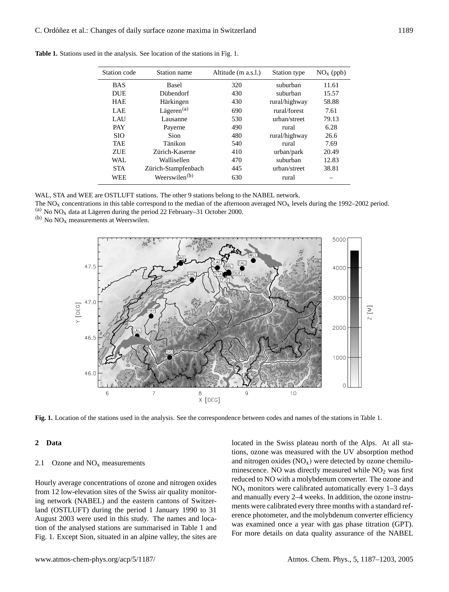| Station code | Station name              | Altitude (m a.s.l.) | Station type  | $NOx$ (ppb) |
|--------------|---------------------------|---------------------|---------------|-------------|
| <b>BAS</b>   | <b>Basel</b>              | 320                 | suburban      | 11.61       |
| <b>DUE</b>   | Diibendorf                | 430                 | suburban      | 15.57       |
| <b>HAE</b>   | Härkingen                 | 430                 | rural/highway | 58.88       |
| LAE          | Lägeren $(a)$             | 690                 | rural/forest  | 7.61        |
| LAU          | Lausanne                  | 530                 | urban/street  | 79.13       |
| <b>PAY</b>   | Payerne                   | 490                 | rural         | 6.28        |
| <b>SIO</b>   | Sion                      | 480                 | rural/highway | 26.6        |
| <b>TAE</b>   | Tänikon                   | 540                 | rural         | 7.69        |
| <b>ZUE</b>   | Zürich-Kaserne            | 410                 | urban/park    | 20.49       |
| WAL.         | Wallisellen               | 470                 | suburban      | 12.83       |
| <b>STA</b>   | Zürich-Stampfenbach       | 445                 | urban/street  | 38.81       |
| <b>WEE</b>   | Weerswilen <sup>(b)</sup> | 630                 | rural         |             |
|              |                           |                     |               |             |

**Table 1.** Stations used in the analysis. See location of the stations in Fig. 1.

WAL, STA and WEE are OSTLUFT stations. The other 9 stations belong to the NABEL network.

The NO<sub>x</sub> concentrations in this table correspond to the median of the afternoon averaged NO<sub>x</sub> levels during the 1992–2002 period. (a) No  $NO<sub>x</sub>$  data at Lägeren during the period 22 February–31 October 2000.

(b) No  $NO<sub>x</sub>$  measurements at Weerswilen.



**Fig. 1.** Location of the stations used in the analysis. See the correspondence between codes and names of the stations in Table 1.

## **2 Data**

### 2.1 Ozone and  $NO<sub>x</sub>$  measurements

Hourly average concentrations of ozone and nitrogen oxides from 12 low-elevation sites of the Swiss air quality monitoring network (NABEL) and the eastern cantons of Switzerland (OSTLUFT) during the period 1 January 1990 to 31 August 2003 were used in this study. The names and location of the analysed stations are summarised in Table 1 and Fig. 1. Except Sion, situated in an alpine valley, the sites are located in the Swiss plateau north of the Alps. At all stations, ozone was measured with the UV absorption method and nitrogen oxides  $(NO_x)$  were detected by ozone chemiluminescence. NO was directly measured while  $NO<sub>2</sub>$  was first reduced to NO with a molybdenum converter. The ozone and  $NO<sub>x</sub>$  monitors were calibrated automatically every 1–3 days and manually every 2–4 weeks. In addition, the ozone instruments were calibrated every three months with a standard reference photometer, and the molybdenum converter efficiency was examined once a year with gas phase titration (GPT). For more details on data quality assurance of the NABEL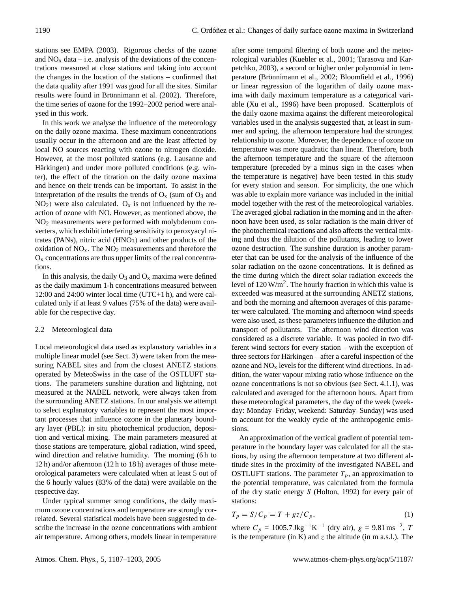stations see EMPA (2003). Rigorous checks of the ozone and  $NO<sub>x</sub>$  data – i.e. analysis of the deviations of the concentrations measured at close stations and taking into account the changes in the location of the stations – confirmed that the data quality after 1991 was good for all the sites. Similar results were found in Brönnimann et al. (2002). Therefore, the time series of ozone for the 1992–2002 period were analysed in this work.

In this work we analyse the influence of the meteorology on the daily ozone maxima. These maximum concentrations usually occur in the afternoon and are the least affected by local NO sources reacting with ozone to nitrogen dioxide. However, at the most polluted stations (e.g. Lausanne and Härkingen) and under more polluted conditions (e.g. winter), the effect of the titration on the daily ozone maxima and hence on their trends can be important. To assist in the interpretation of the results the trends of  $O_x$  (sum of  $O_3$  and  $NO<sub>2</sub>$ ) were also calculated.  $O<sub>x</sub>$  is not influenced by the reaction of ozone with NO. However, as mentioned above, the NO<sup>2</sup> measurements were performed with molybdenum converters, which exhibit interfering sensitivity to peroxyacyl nitrates (PANs), nitric acid  $(HNO<sub>3</sub>)$  and other products of the oxidation of  $NO<sub>x</sub>$ . The  $NO<sub>2</sub>$  measurements and therefore the  $O<sub>x</sub>$  concentrations are thus upper limits of the real concentrations.

In this analysis, the daily  $O_3$  and  $O_x$  maxima were defined as the daily maximum 1-h concentrations measured between 12:00 and 24:00 winter local time (UTC+1 h), and were calculated only if at least 9 values (75% of the data) were available for the respective day.

# 2.2 Meteorological data

Local meteorological data used as explanatory variables in a multiple linear model (see Sect. 3) were taken from the measuring NABEL sites and from the closest ANETZ stations operated by MeteoSwiss in the case of the OSTLUFT stations. The parameters sunshine duration and lightning, not measured at the NABEL network, were always taken from the surrounding ANETZ stations. In our analysis we attempt to select explanatory variables to represent the most important processes that influence ozone in the planetary boundary layer (PBL): in situ photochemical production, deposition and vertical mixing. The main parameters measured at those stations are temperature, global radiation, wind speed, wind direction and relative humidity. The morning (6h to 12 h) and/or afternoon (12 h to 18 h) averages of those meteorological parameters were calculated when at least 5 out of the 6 hourly values (83% of the data) were available on the respective day.

Under typical summer smog conditions, the daily maximum ozone concentrations and temperature are strongly correlated. Several statistical models have been suggested to describe the increase in the ozone concentrations with ambient air temperature. Among others, models linear in temperature after some temporal filtering of both ozone and the meteorological variables (Kuebler et al., 2001; Tarasova and Karpetchko, 2003), a second or higher order polynomial in temperature (Brönnimann et al., 2002; Bloomfield et al., 1996) or linear regression of the logarithm of daily ozone maxima with daily maximum temperature as a categorical variable (Xu et al., 1996) have been proposed. Scatterplots of the daily ozone maxima against the different meteorological variables used in the analysis suggested that, at least in summer and spring, the afternoon temperature had the strongest relationship to ozone. Moreover, the dependence of ozone on temperature was more quadratic than linear. Therefore, both the afternoon temperature and the square of the afternoon temperature (preceded by a minus sign in the cases when the temperature is negative) have been tested in this study for every station and season. For simplicity, the one which was able to explain more variance was included in the initial model together with the rest of the meteorological variables. The averaged global radiation in the morning and in the afternoon have been used, as solar radiation is the main driver of the photochemical reactions and also affects the vertical mixing and thus the dilution of the pollutants, leading to lower ozone destruction. The sunshine duration is another parameter that can be used for the analysis of the influence of the solar radiation on the ozone concentrations. It is defined as the time during which the direct solar radiation exceeds the level of  $120 \text{ W/m}^2$ . The hourly fraction in which this value is exceeded was measured at the surrounding ANETZ stations, and both the morning and afternoon averages of this parameter were calculated. The morning and afternoon wind speeds were also used, as these parameters influence the dilution and transport of pollutants. The afternoon wind direction was considered as a discrete variable. It was pooled in two different wind sectors for every station – with the exception of three sectors for Härkingen – after a careful inspection of the ozone and  $NO<sub>x</sub>$  levels for the different wind directions. In addition, the water vapour mixing ratio whose influence on the ozone concentrations is not so obvious (see Sect. 4.1.1), was calculated and averaged for the afternoon hours. Apart from these meteorological parameters, the day of the week (weekday: Monday–Friday, weekend: Saturday–Sunday) was used to account for the weakly cycle of the anthropogenic emissions.

An approximation of the vertical gradient of potential temperature in the boundary layer was calculated for all the stations, by using the afternoon temperature at two different altitude sites in the proximity of the investigated NABEL and OSTLUFT stations. The parameter  $T_p$ , an approximation to the potential temperature, was calculated from the formula of the dry static energy S (Holton, 1992) for every pair of stations:

$$
T_p = S/C_p = T + gz/C_p,\tag{1}
$$

where  $C_p = 1005.7 \text{ Jkg}^{-1} \text{K}^{-1}$  (dry air),  $g = 9.81 \text{ ms}^{-2}$ , 7 is the temperature (in K) and  $z$  the altitude (in m a.s.l.). The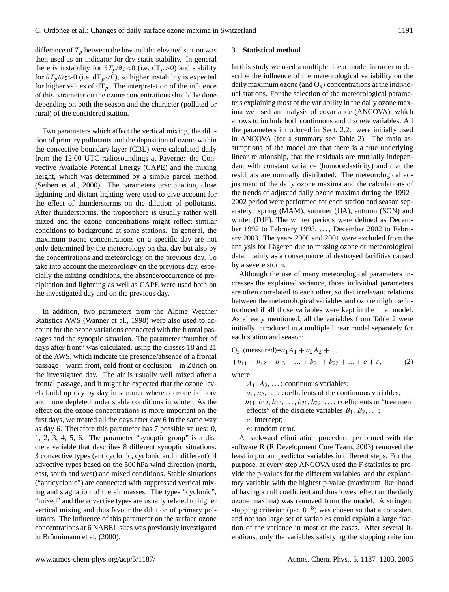difference of  $T_p$  between the low and the elevated station was then used as an indicator for dry static stability. In general there is instability for  $\partial T_p/\partial z < 0$  (i.e. dT<sub>p</sub>>0) and stability for  $\frac{\partial T_p}{\partial z} > 0$  (i.e. dT<sub>p</sub><0), so higher instability is expected for higher values of  $dT_p$ . The interpretation of the influence of this parameter on the ozone concentrations should be done depending on both the season and the character (polluted or rural) of the considered station.

Two parameters which affect the vertical mixing, the dilution of primary pollutants and the deposition of ozone within the convective boundary layer (CBL) were calculated daily from the 12:00 UTC radiosoundings at Payerne: the Convective Available Potential Energy (CAPE) and the mixing height, which was determined by a simple parcel method (Seibert et al., 2000). The parameters precipitation, close lightning and distant lighting were used to give account for the effect of thunderstorms on the dilution of pollutants. After thunderstorms, the troposphere is usually rather well mixed and the ozone concentrations might reflect similar conditions to background at some stations. In general, the maximum ozone concentrations on a specific day are not only determined by the meteorology on that day but also by the concentrations and meteorology on the previous day. To take into account the meteorology on the previous day, especially the mixing conditions, the absence/occurrence of precipitation and lightning as well as CAPE were used both on the investigated day and on the previous day.

In addition, two parameters from the Alpine Weather Statistics AWS (Wanner et al., 1998) were also used to account for the ozone variations connected with the frontal passages and the synoptic situation. The parameter "number of days after front" was calculated, using the classes 18 and 21 of the AWS, which indicate the presence/absence of a frontal  $passage - warm front, cold front or occlusion - in Zürich on$ the investigated day. The air is usually well mixed after a frontal passage, and it might be expected that the ozone levels build up day by day in summer whereas ozone is more and more depleted under stable conditions in winter. As the effect on the ozone concentrations is more important on the first days, we treated all the days after day 6 in the same way as day 6. Therefore this parameter has 7 possible values: 0, 1, 2, 3, 4, 5, 6. The parameter "synoptic group" is a discrete variable that describes 8 different synoptic situations: 3 convective types (anticyclonic, cyclonic and indifferent), 4 advective types based on the 500 hPa wind direction (north, east, south and west) and mixed conditions. Stable situations ("anticyclonic") are connected with suppressed vertical mixing and stagnation of the air masses. The types "cyclonic", "mixed" and the advective types are usually related to higher vertical mixing and thus favour the dilution of primary pollutants. The influence of this parameter on the surface ozone concentrations at 6 NABEL sites was previously investigated in Brönnimann et al. (2000).

## **3 Statistical method**

In this study we used a multiple linear model in order to describe the influence of the meteorological variability on the daily maximum ozone (and  $O_x$ ) concentrations at the individual stations. For the selection of the meteorological parameters explaining most of the variability in the daily ozone maxima we used an analysis of covariance (ANCOVA), which allows to include both continuous and discrete variables. All the parameters introduced in Sect. 2.2. were initially used in ANCOVA (for a summary see Table 2). The main assumptions of the model are that there is a true underlying linear relationship, that the residuals are mutually independent with constant variance (homocedasticity) and that the residuals are normally distributed. The meteorological adjustment of the daily ozone maxima and the calculations of the trends of adjusted daily ozone maxima during the 1992– 2002 period were performed for each station and season separately: spring (MAM), summer (JJA), autumn (SON) and winter (DJF). The winter periods were defined as December 1992 to February 1993, ..., December 2002 to February 2003. The years 2000 and 2001 were excluded from the analysis for Lägeren due to missing ozone or meteorological data, mainly as a consequence of destroyed facilities caused by a severe storm.

Although the use of many meteorological parameters increases the explained variance, those individual parameters are often correlated to each other, so that irrelevant relations between the meteorological variables and ozone might be introduced if all those variables were kept in the final model. As already mentioned, all the variables from Table 2 were initially introduced in a multiple linear model separately for each station and season:

O<sub>3</sub> (measured)=
$$
a_1A_1 + a_2A_2 + ...
$$
  
+ $b_{11} + b_{12} + b_{13} + ... + b_{21} + b_{22} + ... + c + \varepsilon$ , (2)  
where

 $A_1, A_2, \ldots$ : continuous variables;

 $a_1, a_2, \ldots$ : coefficients of the continuous variables;  $b_{11}, b_{12}, b_{13}, \ldots, b_{21}, b_{22}, \ldots$ : coefficients or "treatment" effects" of the discrete variables  $B_1, B_2, \ldots;$ 

- c: intercept;
- ε: random error.

A backward elimination procedure performed with the software R (R Development Core Team, 2003) removed the least important predictor variables in different steps. For that purpose, at every step ANCOVA used the F statistics to provide the p-values for the different variables, and the explanatory variable with the highest p-value (maximum likelihood of having a null coefficient and thus lowest effect on the daily ozone maxima) was removed from the model. A stringent stopping criterion  $(p<10^{-8})$  was chosen so that a consistent and not too large set of variables could explain a large fraction of the variance in most of the cases. After several iterations, only the variables satisfying the stopping criterion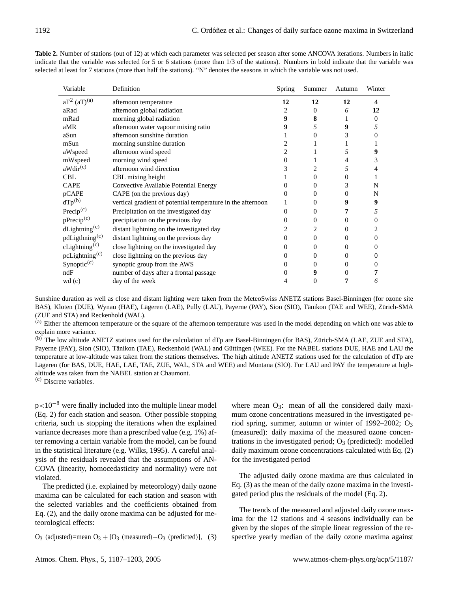| Variable                     | Definition                                                  | <b>Spring</b> | Summer         | Autumn   | Winter       |
|------------------------------|-------------------------------------------------------------|---------------|----------------|----------|--------------|
| $aT^2$ $(aT)^{(a)}$          | afternoon temperature                                       | 12            | 12             | 12       | 4            |
| aRad                         | afternoon global radiation                                  | 2             | $\Omega$       | 6        | 12           |
| mRad                         | morning global radiation                                    | 9             | 8              |          | $\mathbf{0}$ |
| aMR                          | afternoon water vapour mixing ratio                         | 9             | 5              | 9        |              |
| aSun                         | afternoon sunshine duration                                 |               | $\Omega$       | 3        |              |
| mSun                         | morning sunshine duration                                   | 2             |                |          |              |
| aWspeed                      | afternoon wind speed                                        | 2             |                | 5        | 9            |
| mWspeed                      | morning wind speed                                          | 0             |                | 4        | 3            |
| aWdir <sup>(c)</sup>         | afternoon wind direction                                    | 3             | 2              | 5        |              |
| <b>CBL</b>                   | CBL mixing height                                           |               | $\Omega$       | $\Omega$ |              |
| <b>CAPE</b>                  | Convective Available Potential Energy                       |               | 0              | 3        | N            |
| pCAPE                        | CAPE (on the previous day)                                  | 0             | $\Omega$       | $\Omega$ | N            |
| $dTp^{(b)}$                  | vertical gradient of potential temperature in the afternoon |               | $\Omega$       | 9        | 9            |
| Precip $(c)$                 | Precipitation on the investigated day                       | 0             | $\overline{0}$ | 7        | 5            |
| $p$ Precip $(c)$             | precipitation on the previous day                           | 0             | $\Omega$       | $\theta$ | 0            |
| $d$ Lightning <sup>(c)</sup> | distant lightning on the investigated day                   |               | 2              | 0        |              |
| pdLigthning <sup>(c)</sup>   | distant lightning on the previous day                       | 0             | $\Omega$       | 0        | 0            |
| $c$ Lightning <sup>(c)</sup> | close lightning on the investigated day                     | 0             | $\mathbf{0}$   | $\theta$ | $_{0}$       |
| pcLightning <sup>(c)</sup>   | close lightning on the previous day                         | 0             | $\Omega$       | 0        | 0            |
| Synoptic <sup>(c)</sup>      | synoptic group from the AWS                                 | 0             | $\Omega$       | 0        |              |
| ndF                          | number of days after a frontal passage                      |               | 9              | 0        |              |
| wd (c)                       | day of the week                                             | 4             | 0              | 7        | 6            |

**Table 2.** Number of stations (out of 12) at which each parameter was selected per season after some ANCOVA iterations. Numbers in italic indicate that the variable was selected for 5 or 6 stations (more than 1/3 of the stations). Numbers in bold indicate that the variable was selected at least for 7 stations (more than half the stations). "N" denotes the seasons in which the variable was not used.

Sunshine duration as well as close and distant lighting were taken from the MeteoSwiss ANETZ stations Basel-Binningen (for ozone site BAS), Kloten (DUE), Wynau (HAE), Lägeren (LAE), Pully (LAU), Payerne (PAY), Sion (SIO), Tänikon (TAE and WEE), Zürich-SMA (ZUE and STA) and Reckenhold (WAL).

<sup>(a)</sup> Either the afternoon temperature or the square of the afternoon temperature was used in the model depending on which one was able to explain more variance.

(b) The low altitude ANETZ stations used for the calculation of dTp are Basel-Binningen (for BAS), Zürich-SMA (LAE, ZUE and STA), Payerne (PAY), Sion (SIO), Tänikon (TAE), Reckenhold (WAL) and Güttingen (WEE). For the NABEL stations DUE, HAE and LAU the temperature at low-altitude was taken from the stations themselves. The high altitude ANETZ stations used for the calculation of dTp are Lägeren (for BAS, DUE, HAE, LAE, TAE, ZUE, WAL, STA and WEE) and Montana (SIO). For LAU and PAY the temperature at highaltitude was taken from the NABEL station at Chaumont.

(c) Discrete variables.

p<10<sup>-8</sup> were finally included into the multiple linear model (Eq. 2) for each station and season. Other possible stopping criteria, such us stopping the iterations when the explained variance decreases more than a prescribed value (e.g. 1%) after removing a certain variable from the model, can be found in the statistical literature (e.g. Wilks, 1995). A careful analysis of the residuals revealed that the assumptions of AN-COVA (linearity, homocedasticity and normality) were not violated.

The predicted (i.e. explained by meteorology) daily ozone maxima can be calculated for each station and season with the selected variables and the coefficients obtained from Eq. (2), and the daily ozone maxima can be adjusted for meteorological effects:

O<sub>3</sub> (adjusted)=mean  $O_3 + [O_3$  (measured)–O<sub>3</sub> (predicted)], (3)

where mean  $O_3$ : mean of all the considered daily maximum ozone concentrations measured in the investigated period spring, summer, autumn or winter of 1992–2002;  $O_3$ (measured): daily maxima of the measured ozone concentrations in the investigated period;  $O_3$  (predicted): modelled daily maximum ozone concentrations calculated with Eq. (2) for the investigated period

The adjusted daily ozone maxima are thus calculated in Eq. (3) as the mean of the daily ozone maxima in the investigated period plus the residuals of the model (Eq. 2).

The trends of the measured and adjusted daily ozone maxima for the 12 stations and 4 seasons individually can be given by the slopes of the simple linear regression of the respective yearly median of the daily ozone maxima against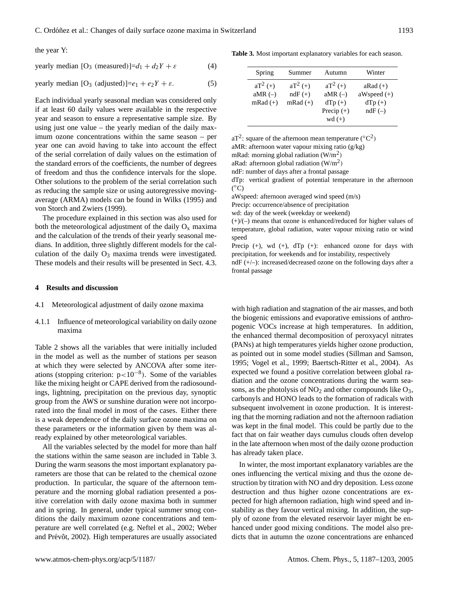the year Y:

$$
yearly median [O3 (measured)] = d1 + d2Y + \varepsilon
$$
 (4)

yearly median  $[O_3$  (adjusted)]= $e_1 + e_2Y + \varepsilon$ . (5)

Each individual yearly seasonal median was considered only if at least 60 daily values were available in the respective year and season to ensure a representative sample size. By using just one value – the yearly median of the daily maximum ozone concentrations within the same season – per year one can avoid having to take into account the effect of the serial correlation of daily values on the estimation of the standard errors of the coefficients, the number of degrees of freedom and thus the confidence intervals for the slope. Other solutions to the problem of the serial correlation such as reducing the sample size or using autoregressive movingaverage (ARMA) models can be found in Wilks (1995) and von Storch and Zwiers (1999).

The procedure explained in this section was also used for both the meteorological adjustment of the daily  $O_x$  maxima and the calculation of the trends of their yearly seasonal medians. In addition, three slightly different models for the calculation of the daily  $O_3$  maxima trends were investigated. These models and their results will be presented in Sect. 4.3.

## **4 Results and discussion**

- 4.1 Meteorological adjustment of daily ozone maxima
- 4.1.1 Influence of meteorological variability on daily ozone maxima

Table 2 shows all the variables that were initially included in the model as well as the number of stations per season at which they were selected by ANCOVA after some iterations (stopping criterion:  $p < 10^{-8}$ ). Some of the variables like the mixing height or CAPE derived from the radiosoundings, lightning, precipitation on the previous day, synoptic group from the AWS or sunshine duration were not incorporated into the final model in most of the cases. Either there is a weak dependence of the daily surface ozone maxima on these parameters or the information given by them was already explained by other meteorological variables.

All the variables selected by the model for more than half the stations within the same season are included in Table 3. During the warm seasons the most important explanatory parameters are those that can be related to the chemical ozone production. In particular, the square of the afternoon temperature and the morning global radiation presented a positive correlation with daily ozone maxima both in summer and in spring. In general, under typical summer smog conditions the daily maximum ozone concentrations and temperature are well correlated (e.g. Neftel et al., 2002; Weber and Prévôt, 2002). High temperatures are usually associated

**Table 3.** Most important explanatory variables for each season.

| Spring                                | Summer                                | Autumn                               | Winter                                    |
|---------------------------------------|---------------------------------------|--------------------------------------|-------------------------------------------|
| $aT^2$ (+)<br>aMR $(-)$<br>$mRad (+)$ | $aT^2$ (+)<br>$ndF (+)$<br>$mRad (+)$ | $aT^2$ (+)<br>aMR $(-)$<br>$dTp (+)$ | $aRad (+)$<br>$aW speed (+)$<br>$dTp (+)$ |
|                                       |                                       | Precip $(+)$                         | $ndF(-)$                                  |
|                                       |                                       | $wd (+)$                             |                                           |

aT<sup>2</sup>: square of the afternoon mean temperature ( ${}^{\circ}C^{2}$ )

aMR: afternoon water vapour mixing ratio (g/kg)

mRad: morning global radiation  $(W/m^2)$ 

aRad: afternoon global radiation  $(W/m^2)$ 

ndF: number of days after a frontal passage

dTp: vertical gradient of potential temperature in the afternoon  $(\overline{^{\circ}C})$ 

aWspeed: afternoon averaged wind speed (m/s)

Precip: occurrence/absence of precipitation

wd: day of the week (weekday or weekend)

(+)/(–) means that ozone is enhanced/reduced for higher values of temperature, global radiation, water vapour mixing ratio or wind speed

Precip  $(+)$ , wd  $(+)$ ,  $dTp$   $(+)$ : enhanced ozone for days with precipitation, for weekends and for instability, respectively

ndF (+/–): increased/decreased ozone on the following days after a frontal passage

with high radiation and stagnation of the air masses, and both the biogenic emissions and evaporative emissions of anthropogenic VOCs increase at high temperatures. In addition, the enhanced thermal decomposition of peroxyacyl nitrates (PANs) at high temperatures yields higher ozone production, as pointed out in some model studies (Sillman and Samson, 1995; Vogel et al., 1999; Baertsch-Ritter et al., 2004). As expected we found a positive correlation between global radiation and the ozone concentrations during the warm seasons, as the photolysis of  $NO<sub>2</sub>$  and other compounds like  $O<sub>3</sub>$ , carbonyls and HONO leads to the formation of radicals with subsequent involvement in ozone production. It is interesting that the morning radiation and not the afternoon radiation was kept in the final model. This could be partly due to the fact that on fair weather days cumulus clouds often develop in the late afternoon when most of the daily ozone production has already taken place.

In winter, the most important explanatory variables are the ones influencing the vertical mixing and thus the ozone destruction by titration with NO and dry deposition. Less ozone destruction and thus higher ozone concentrations are expected for high afternoon radiation, high wind speed and instability as they favour vertical mixing. In addition, the supply of ozone from the elevated reservoir layer might be enhanced under good mixing conditions. The model also predicts that in autumn the ozone concentrations are enhanced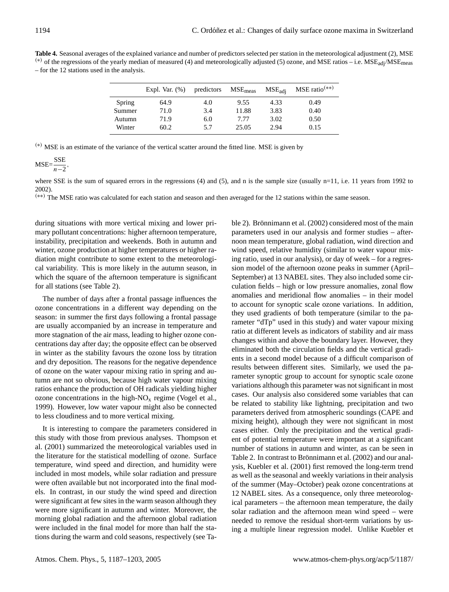**Table 4.** Seasonal averages of the explained variance and number of predictors selected per station in the meteorological adjustment (2), MSE (\*) of the regressions of the yearly median of measured (4) and meteorologically adjusted (5) ozone, and MSE ratios – i.e.  $MSE_{\text{add}}/MSE_{\text{meas}}$ – for the 12 stations used in the analysis.

|        | Expl. Var. $(\%)$ | predictors | $MSE_{meas}$ | $MSE_{\text{adj}}$ | $MSE$ ratio <sup>(**)</sup> |
|--------|-------------------|------------|--------------|--------------------|-----------------------------|
| Spring | 64.9              | 4.0        | 9.55         | 4.33               | 0.49                        |
| Summer | 71.0              | 3.4        | 11.88        | 3.83               | 0.40                        |
| Autumn | 71.9              | 6.0        | 7.77         | 3.02               | 0.50                        |
| Winter | 60.2              | 5.7        | 25.05        | 2.94               | 0.15                        |

(∗) MSE is an estimate of the variance of the vertical scatter around the fitted line. MSE is given by

$$
MSE = \frac{SSE}{n-2},
$$

where SSE is the sum of squared errors in the regressions (4) and (5), and n is the sample size (usually n=11, i.e. 11 years from 1992 to 2002).

(∗∗) The MSE ratio was calculated for each station and season and then averaged for the 12 stations within the same season.

during situations with more vertical mixing and lower primary pollutant concentrations: higher afternoon temperature, instability, precipitation and weekends. Both in autumn and winter, ozone production at higher temperatures or higher radiation might contribute to some extent to the meteorological variability. This is more likely in the autumn season, in which the square of the afternoon temperature is significant for all stations (see Table 2).

The number of days after a frontal passage influences the ozone concentrations in a different way depending on the season: in summer the first days following a frontal passage are usually accompanied by an increase in temperature and more stagnation of the air mass, leading to higher ozone concentrations day after day; the opposite effect can be observed in winter as the stability favours the ozone loss by titration and dry deposition. The reasons for the negative dependence of ozone on the water vapour mixing ratio in spring and autumn are not so obvious, because high water vapour mixing ratios enhance the production of OH radicals yielding higher ozone concentrations in the high- $NO<sub>x</sub>$  regime (Vogel et al., 1999). However, low water vapour might also be connected to less cloudiness and to more vertical mixing.

It is interesting to compare the parameters considered in this study with those from previous analyses. Thompson et al. (2001) summarized the meteorological variables used in the literature for the statistical modelling of ozone. Surface temperature, wind speed and direction, and humidity were included in most models, while solar radiation and pressure were often available but not incorporated into the final models. In contrast, in our study the wind speed and direction were significant at few sites in the warm season although they were more significant in autumn and winter. Moreover, the morning global radiation and the afternoon global radiation were included in the final model for more than half the stations during the warm and cold seasons, respectively (see Table 2). Brönnimann et al. (2002) considered most of the main parameters used in our analysis and former studies – afternoon mean temperature, global radiation, wind direction and wind speed, relative humidity (similar to water vapour mixing ratio, used in our analysis), or day of week – for a regression model of the afternoon ozone peaks in summer (April– September) at 13 NABEL sites. They also included some circulation fields – high or low pressure anomalies, zonal flow anomalies and meridional flow anomalies – in their model to account for synoptic scale ozone variations. In addition, they used gradients of both temperature (similar to the parameter "dTp" used in this study) and water vapour mixing ratio at different levels as indicators of stability and air mass changes within and above the boundary layer. However, they eliminated both the circulation fields and the vertical gradients in a second model because of a difficult comparison of results between different sites. Similarly, we used the parameter synoptic group to account for synoptic scale ozone variations although this parameter was not significant in most cases. Our analysis also considered some variables that can be related to stability like lightning, precipitation and two parameters derived from atmospheric soundings (CAPE and mixing height), although they were not significant in most cases either. Only the precipitation and the vertical gradient of potential temperature were important at a significant number of stations in autumn and winter, as can be seen in Table 2. In contrast to Brönnimann et al. (2002) and our analysis, Kuebler et al. (2001) first removed the long-term trend as well as the seasonal and weekly variations in their analysis of the summer (May–October) peak ozone concentrations at 12 NABEL sites. As a consequence, only three meteorological parameters – the afternoon mean temperature, the daily solar radiation and the afternoon mean wind speed – were needed to remove the residual short-term variations by using a multiple linear regression model. Unlike Kuebler et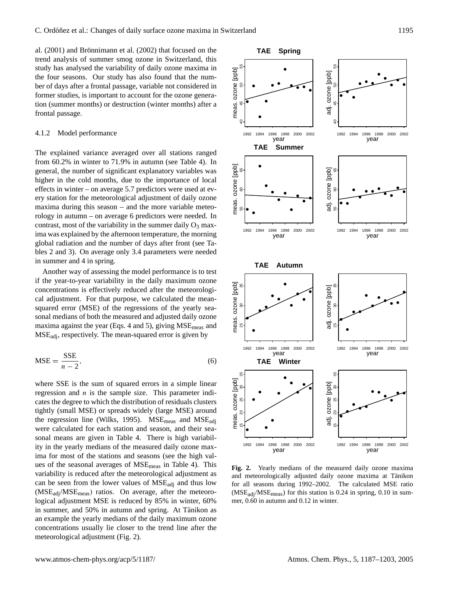al. (2001) and Brönnimann et al. (2002) that focused on the trend analysis of summer smog ozone in Switzerland, this study has analysed the variability of daily ozone maxima in the four seasons. Our study has also found that the number of days after a frontal passage, variable not considered in former studies, is important to account for the ozone generation (summer months) or destruction (winter months) after a frontal passage.

#### 4.1.2 Model performance

The explained variance averaged over all stations ranged from 60.2% in winter to 71.9% in autumn (see Table 4). In general, the number of significant explanatory variables was higher in the cold months, due to the importance of local effects in winter – on average 5.7 predictors were used at every station for the meteorological adjustment of daily ozone maxima during this season – and the more variable meteorology in autumn – on average 6 predictors were needed. In contrast, most of the variability in the summer daily  $O_3$  maxima was explained by the afternoon temperature, the morning global radiation and the number of days after front (see Tables 2 and 3). On average only 3.4 parameters were needed in summer and 4 in spring.

Another way of assessing the model performance is to test if the year-to-year variability in the daily maximum ozone concentrations is effectively reduced after the meteorological adjustment. For that purpose, we calculated the meansquared error (MSE) of the regressions of the yearly seasonal medians of both the measured and adjusted daily ozone maxima against the year (Eqs. 4 and 5), giving MSE<sub>meas</sub> and  $MSE_{\text{adj}}$ , respectively. The mean-squared error is given by

$$
MSE = \frac{SSE}{n - 2},\tag{6}
$$

where SSE is the sum of squared errors in a simple linear regression and  $n$  is the sample size. This parameter indicates the degree to which the distribution of residuals clusters tightly (small MSE) or spreads widely (large MSE) around the regression line (Wilks, 1995).  $MSE_{meas}$  and  $MSE_{adi}$ were calculated for each station and season, and their seasonal means are given in Table 4. There is high variability in the yearly medians of the measured daily ozone maxima for most of the stations and seasons (see the high values of the seasonal averages of MSEmeas in Table 4). This variability is reduced after the meteorological adjustment as can be seen from the lower values of MSEadj and thus low  $(MSE<sub>adi</sub>/MSE<sub>meas</sub>)$  ratios. On average, after the meteorological adjustment MSE is reduced by 85% in winter, 60% in summer, and 50% in autumn and spring. At Tänikon as an example the yearly medians of the daily maximum ozone concentrations usually lie closer to the trend line after the meteorological adjustment (Fig. 2).



**Fig. 2.** Yearly medians of the measured daily ozone maxima and meteorologically adjusted daily ozone maxima at Tänikon for all seasons during 1992–2002. The calculated MSE ratio  $(MSE<sub>adi</sub>/MSE<sub>meas</sub>)$  for this station is 0.24 in spring, 0.10 in summer, 0.60 in autumn and 0.12 in winter.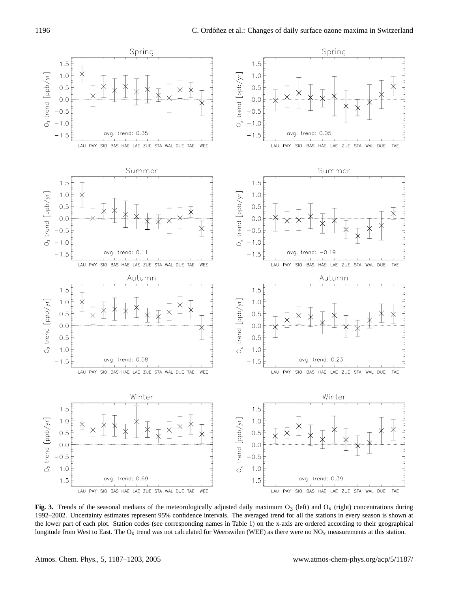

Fig. 3. Trends of the seasonal medians of the meteorologically adjusted daily maximum  $O_3$  (left) and  $O_x$  (right) concentrations during 1992–2002. Uncertainty estimates represent 95% confidence intervals. The averaged trend for all the stations in every season is shown at the lower part of each plot. Station codes (see corresponding names in Table 1) on the x-axis are ordered according to their geographical longitude from West to East. The  $O_x$  trend was not calculated for Weerswilen (WEE) as there were no  $NO_x$  measurements at this station.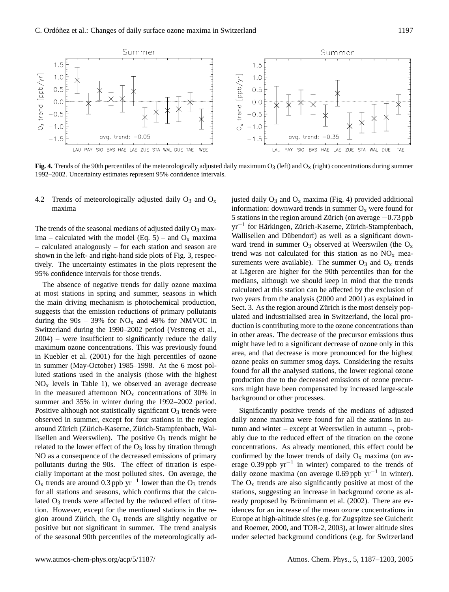

**Fig. 4.** Trends of the 90th percentiles of the meteorologically adjusted daily maximum  $O_3$  (left) and  $O_x$  (right) concentrations during summer 1992–2002. Uncertainty estimates represent 95% confidence intervals.

# 4.2 Trends of meteorologically adjusted daily  $O_3$  and  $O_x$ maxima

The trends of the seasonal medians of adjusted daily  $O_3$  maxima – calculated with the model (Eq. 5) – and  $O_x$  maxima – calculated analogously – for each station and season are shown in the left- and right-hand side plots of Fig. 3, respectively. The uncertainty estimates in the plots represent the 95% confidence intervals for those trends.

The absence of negative trends for daily ozone maxima at most stations in spring and summer, seasons in which the main driving mechanism is photochemical production, suggests that the emission reductions of primary pollutants during the  $90s - 39\%$  for NO<sub>x</sub> and 49% for NMVOC in Switzerland during the 1990–2002 period (Vestreng et al., 2004) – were insufficient to significantly reduce the daily maximum ozone concentrations. This was previously found in Kuebler et al. (2001) for the high percentiles of ozone in summer (May-October) 1985–1998. At the 6 most polluted stations used in the analysis (those with the highest  $NO<sub>x</sub>$  levels in Table 1), we observed an average decrease in the measured afternoon  $NO<sub>x</sub>$  concentrations of 30% in summer and 35% in winter during the 1992–2002 period. Positive although not statistically significant  $O_3$  trends were observed in summer, except for four stations in the region around Zürich (Zürich-Kaserne, Zürich-Stampfenbach, Wallisellen and Weerswilen). The positive  $O_3$  trends might be related to the lower effect of the  $O_3$  loss by titration through NO as a consequence of the decreased emissions of primary pollutants during the 90s. The effect of titration is especially important at the most polluted sites. On average, the  $O_x$  trends are around 0.3 ppb yr<sup>-1</sup> lower than the  $O_3$  trends for all stations and seasons, which confirms that the calculated  $O_3$  trends were affected by the reduced effect of titration. However, except for the mentioned stations in the region around Zürich, the  $O_x$  trends are slightly negative or positive but not significant in summer. The trend analysis of the seasonal 90th percentiles of the meteorologically adjusted daily  $O_3$  and  $O_x$  maxima (Fig. 4) provided additional information: downward trends in summer  $O_x$  were found for 5 stations in the region around Zürich (on average  $-0.73$  ppb yr<sup>-1</sup> for Härkingen, Zürich-Kaserne, Zürich-Stampfenbach, Wallisellen and Dübendorf) as well as a significant downward trend in summer  $O_3$  observed at Weerswilen (the  $O_x$ trend was not calculated for this station as no  $NO<sub>x</sub>$  measurements were available). The summer  $O_3$  and  $O_x$  trends at Lägeren are higher for the 90th percentiles than for the medians, although we should keep in mind that the trends calculated at this station can be affected by the exclusion of two years from the analysis (2000 and 2001) as explained in Sect. 3. As the region around Zürich is the most densely populated and industrialised area in Switzerland, the local production is contributing more to the ozone concentrations than in other areas. The decrease of the precursor emissions thus might have led to a significant decrease of ozone only in this area, and that decrease is more pronounced for the highest ozone peaks on summer smog days. Considering the results found for all the analysed stations, the lower regional ozone production due to the decreased emissions of ozone precursors might have been compensated by increased large-scale background or other processes.

Significantly positive trends of the medians of adjusted daily ozone maxima were found for all the stations in autumn and winter – except at Weerswilen in autumn –, probably due to the reduced effect of the titration on the ozone concentrations. As already mentioned, this effect could be confirmed by the lower trends of daily  $O_x$  maxima (on average 0.39 ppb yr−<sup>1</sup> in winter) compared to the trends of daily ozone maxima (on average 0.69 ppb yr−<sup>1</sup> in winter). The  $O_x$  trends are also significantly positive at most of the stations, suggesting an increase in background ozone as already proposed by Brönnimann et al. (2002). There are evidences for an increase of the mean ozone concentrations in Europe at high-altitude sites (e.g. for Zugspitze see Guicherit and Roemer, 2000, and TOR-2, 2003), at lower altitude sites under selected background conditions (e.g. for Switzerland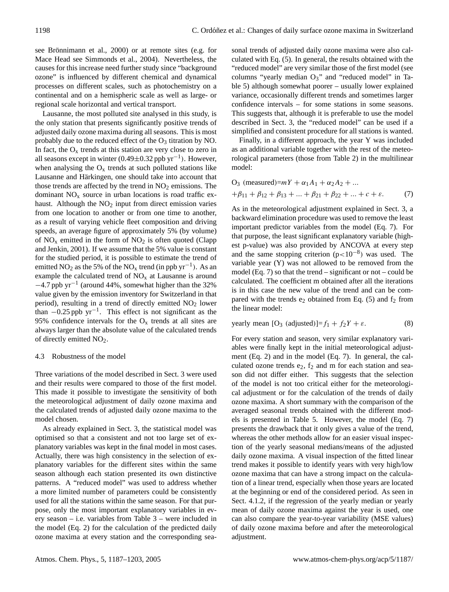see Brönnimann et al., 2000) or at remote sites (e.g. for Mace Head see Simmonds et al., 2004). Nevertheless, the causes for this increase need further study since "background ozone" is influenced by different chemical and dynamical processes on different scales, such as photochemistry on a continental and on a hemispheric scale as well as large- or regional scale horizontal and vertical transport.

Lausanne, the most polluted site analysed in this study, is the only station that presents significantly positive trends of adjusted daily ozone maxima during all seasons. This is most probably due to the reduced effect of the  $O_3$  titration by NO. In fact, the  $O_x$  trends at this station are very close to zero in all seasons except in winter (0.49±0.32 ppb yr−<sup>1</sup> ). However, when analysing the  $O_x$  trends at such polluted stations like Lausanne and Härkingen, one should take into account that those trends are affected by the trend in  $NO<sub>2</sub>$  emissions. The dominant  $NO<sub>x</sub>$  source in urban locations is road traffic exhaust. Although the  $NO<sub>2</sub>$  input from direct emission varies from one location to another or from one time to another, as a result of varying vehicle fleet composition and driving speeds, an average figure of approximately 5% (by volume) of  $NO<sub>x</sub>$  emitted in the form of  $NO<sub>2</sub>$  is often quoted (Clapp and Jenkin, 2001). If we assume that the 5% value is constant for the studied period, it is possible to estimate the trend of emitted NO<sub>2</sub> as the 5% of the NO<sub>x</sub> trend (in ppb yr<sup>-1</sup>). As an example the calculated trend of  $NO<sub>x</sub>$  at Lausanne is around  $-4.7$  ppb yr<sup>-1</sup> (around 44%, somewhat higher than the 32% value given by the emission inventory for Switzerland in that period), resulting in a trend of directly emitted  $NO<sub>2</sub>$  lower than  $-0.25$  ppb yr<sup>-1</sup>. This effect is not significant as the 95% confidence intervals for the  $O_x$  trends at all sites are always larger than the absolute value of the calculated trends of directly emitted  $NO<sub>2</sub>$ .

# 4.3 Robustness of the model

Three variations of the model described in Sect. 3 were used and their results were compared to those of the first model. This made it possible to investigate the sensitivity of both the meteorological adjustment of daily ozone maxima and the calculated trends of adjusted daily ozone maxima to the model chosen.

As already explained in Sect. 3, the statistical model was optimised so that a consistent and not too large set of explanatory variables was kept in the final model in most cases. Actually, there was high consistency in the selection of explanatory variables for the different sites within the same season although each station presented its own distinctive patterns. A "reduced model" was used to address whether a more limited number of parameters could be consistently used for all the stations within the same season. For that purpose, only the most important explanatory variables in every season – i.e. variables from Table 3 – were included in the model (Eq. 2) for the calculation of the predicted daily ozone maxima at every station and the corresponding seasonal trends of adjusted daily ozone maxima were also calculated with Eq. (5). In general, the results obtained with the "reduced model" are very similar those of the first model (see columns "yearly median  $O_3$ " and "reduced model" in Table 5) although somewhat poorer – usually lower explained variance, occasionally different trends and sometimes larger confidence intervals – for some stations in some seasons. This suggests that, although it is preferable to use the model described in Sect. 3, the "reduced model" can be used if a simplified and consistent procedure for all stations is wanted.

Finally, in a different approach, the year Y was included as an additional variable together with the rest of the meteorological parameters (those from Table 2) in the multilinear model:

O<sub>3</sub> (measured)=
$$
mY + \alpha_1 A_1 + \alpha_2 A_2 + ...
$$
  
+ $\beta_{11} + \beta_{12} + \beta_{13} + ... + \beta_{21} + \beta_{22} + ... + c + \varepsilon.$  (7)

As in the meteorological adjustment explained in Sect. 3, a backward elimination procedure was used to remove the least important predictor variables from the model (Eq. 7). For that purpose, the least significant explanatory variable (highest p-value) was also provided by ANCOVA at every step and the same stopping criterion (p<10−<sup>8</sup> ) was used. The variable year (Y) was not allowed to be removed from the model (Eq. 7) so that the trend – significant or not – could be calculated. The coefficient m obtained after all the iterations is in this case the new value of the trend and can be compared with the trends  $e_2$  obtained from Eq. (5) and  $f_2$  from the linear model:

$$
yearly mean [O3 (adjusted)] = f1 + f2Y + \varepsilon.
$$
 (8)

For every station and season, very similar explanatory variables were finally kept in the initial meteorological adjustment (Eq. 2) and in the model (Eq. 7). In general, the calculated ozone trends  $e_2$ ,  $f_2$  and m for each station and season did not differ either. This suggests that the selection of the model is not too critical either for the meteorological adjustment or for the calculation of the trends of daily ozone maxima. A short summary with the comparison of the averaged seasonal trends obtained with the different models is presented in Table 5. However, the model (Eq. 7) presents the drawback that it only gives a value of the trend, whereas the other methods allow for an easier visual inspection of the yearly seasonal medians/means of the adjusted daily ozone maxima. A visual inspection of the fitted linear trend makes it possible to identify years with very high/low ozone maxima that can have a strong impact on the calculation of a linear trend, especially when those years are located at the beginning or end of the considered period. As seen in Sect. 4.1.2, if the regression of the yearly median or yearly mean of daily ozone maxima against the year is used, one can also compare the year-to-year variability (MSE values) of daily ozone maxima before and after the meteorological adjustment.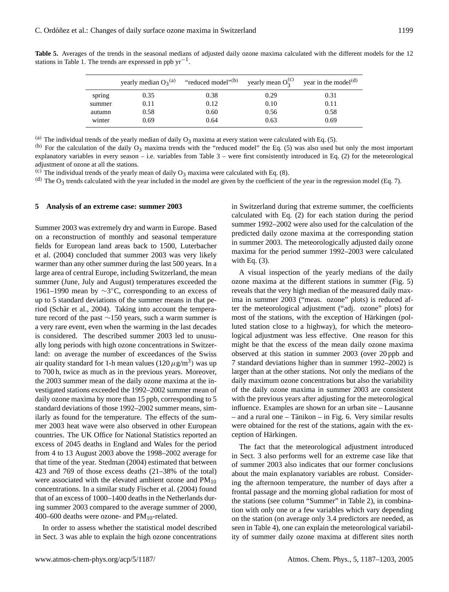|        | yearly median $O_3^{(a)}$ | "reduced model" <sup>(b)</sup> yearly mean $O_3^{(c)}$ year in the model <sup>(d)</sup> |      |      |
|--------|---------------------------|-----------------------------------------------------------------------------------------|------|------|
| spring | 0.35                      | 0.38                                                                                    | 0.29 | 0.31 |
| summer | 0.11                      | 0.12                                                                                    | 0.10 | 0.11 |
| autumn | 0.58                      | 0.60                                                                                    | 0.56 | 0.58 |
| winter | 0.69                      | 0.64                                                                                    | 0.63 | 0.69 |

**Table 5.** Averages of the trends in the seasonal medians of adjusted daily ozone maxima calculated with the different models for the 12 stations in Table 1. The trends are expressed in ppb  $yr^{-1}$ .

(a) The individual trends of the yearly median of daily  $O_3$  maxima at every station were calculated with Eq. (5).

 $(b)$  For the calculation of the daily  $O_3$  maxima trends with the "reduced model" the Eq. (5) was also used but only the most important explanatory variables in every season – i.e. variables from Table  $3$  – were first consistently introduced in Eq. (2) for the meteorological adjustment of ozone at all the stations.

(c) The individual trends of the yearly mean of daily  $O_3$  maxima were calculated with Eq. (8).

(d) The  $O_3$  trends calculated with the year included in the model are given by the coefficient of the year in the regression model (Eq. 7).

#### **5 Analysis of an extreme case: summer 2003**

Summer 2003 was extremely dry and warm in Europe. Based on a reconstruction of monthly and seasonal temperature fields for European land areas back to 1500, Luterbacher et al. (2004) concluded that summer 2003 was very likely warmer than any other summer during the last 500 years. In a large area of central Europe, including Switzerland, the mean summer (June, July and August) temperatures exceeded the 1961–1990 mean by ∼3 ◦C, corresponding to an excess of up to 5 standard deviations of the summer means in that period (Schär et al., 2004). Taking into account the temperature record of the past ∼150 years, such a warm summer is a very rare event, even when the warming in the last decades is considered. The described summer 2003 led to unusually long periods with high ozone concentrations in Switzerland: on average the number of exceedances of the Swiss air quality standard for 1-h mean values ( $120 \mu g/m^3$ ) was up to 700 h, twice as much as in the previous years. Moreover, the 2003 summer mean of the daily ozone maxima at the investigated stations exceeded the 1992–2002 summer mean of daily ozone maxima by more than 15 ppb, corresponding to 5 standard deviations of those 1992–2002 summer means, similarly as found for the temperature. The effects of the summer 2003 heat wave were also observed in other European countries. The UK Office for National Statistics reported an excess of 2045 deaths in England and Wales for the period from 4 to 13 August 2003 above the 1998–2002 average for that time of the year. Stedman (2004) estimated that between 423 and 769 of those excess deaths (21–38% of the total) were associated with the elevated ambient ozone and  $PM_{10}$ concentrations. In a similar study Fischer et al. (2004) found that of an excess of 1000–1400 deaths in the Netherlands during summer 2003 compared to the average summer of 2000, 400–600 deaths were ozone- and  $PM_{10}$ -related.

In order to assess whether the statistical model described in Sect. 3 was able to explain the high ozone concentrations in Switzerland during that extreme summer, the coefficients calculated with Eq. (2) for each station during the period summer 1992–2002 were also used for the calculation of the predicted daily ozone maxima at the corresponding station in summer 2003. The meteorologically adjusted daily ozone maxima for the period summer 1992–2003 were calculated with Eq. (3).

A visual inspection of the yearly medians of the daily ozone maxima at the different stations in summer (Fig. 5) reveals that the very high median of the measured daily maxima in summer 2003 ("meas. ozone" plots) is reduced after the meteorological adjustment ("adj. ozone" plots) for most of the stations, with the exception of Härkingen (polluted station close to a highway), for which the meteorological adjustment was less effective. One reason for this might be that the excess of the mean daily ozone maxima observed at this station in summer 2003 (over 20 ppb and 7 standard deviations higher than in summer 1992–2002) is larger than at the other stations. Not only the medians of the daily maximum ozone concentrations but also the variability of the daily ozone maxima in summer 2003 are consistent with the previous years after adjusting for the meteorological influence. Examples are shown for an urban site – Lausanne  $-$  and a rural one  $-$  Tänikon  $-$  in Fig. 6. Very similar results were obtained for the rest of the stations, again with the exception of Härkingen.

The fact that the meteorological adjustment introduced in Sect. 3 also performs well for an extreme case like that of summer 2003 also indicates that our former conclusions about the main explanatory variables are robust. Considering the afternoon temperature, the number of days after a frontal passage and the morning global radiation for most of the stations (see column "Summer" in Table 2), in combination with only one or a few variables which vary depending on the station (on average only 3.4 predictors are needed, as seen in Table 4), one can explain the meteorological variability of summer daily ozone maxima at different sites north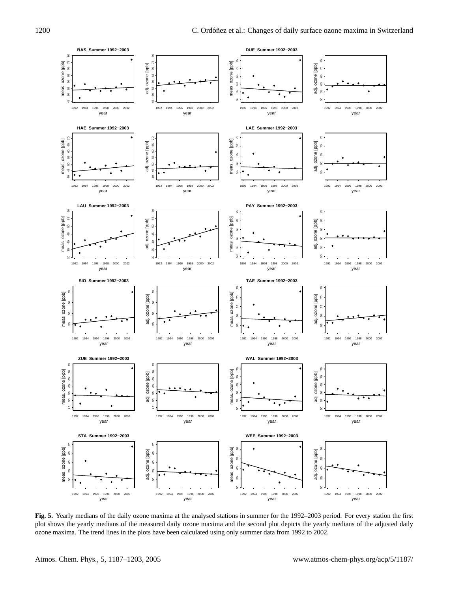

**Fig. 5.** Yearly medians of the daily ozone maxima at the analysed stations in summer for the 1992–2003 period. For every station the first plot shows the yearly medians of the measured daily ozone maxima and the second plot depicts the yearly medians of the adjusted daily ozone maxima. The trend lines in the plots have been calculated using only summer data from 1992 to 2002.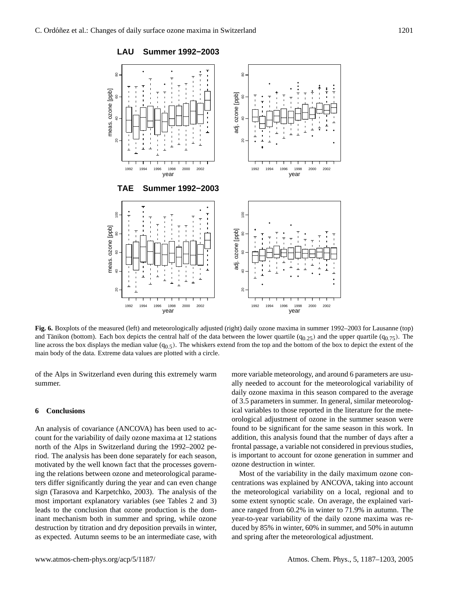

**Fig. 6.** Boxplots of the measured (left) and meteorologically adjusted (right) daily ozone maxima in summer 1992–2003 for Lausanne (top) and Tänikon (bottom). Each box depicts the central half of the data between the lower quartile ( $q_{0,25}$ ) and the upper quartile ( $q_{0,75}$ ). The line across the box displays the median value  $(q_0, \xi)$ . The whiskers extend from the top and the bottom of the box to depict the extent of the main body of the data. Extreme data values are plotted with a circle.

of the Alps in Switzerland even during this extremely warm summer.

## **6 Conclusions**

An analysis of covariance (ANCOVA) has been used to account for the variability of daily ozone maxima at 12 stations north of the Alps in Switzerland during the 1992–2002 period. The analysis has been done separately for each season, motivated by the well known fact that the processes governing the relations between ozone and meteorological parameters differ significantly during the year and can even change sign (Tarasova and Karpetchko, 2003). The analysis of the most important explanatory variables (see Tables 2 and 3) leads to the conclusion that ozone production is the dominant mechanism both in summer and spring, while ozone destruction by titration and dry deposition prevails in winter, as expected. Autumn seems to be an intermediate case, with more variable meteorology, and around 6 parameters are usually needed to account for the meteorological variability of daily ozone maxima in this season compared to the average of 3.5 parameters in summer. In general, similar meteorological variables to those reported in the literature for the meteorological adjustment of ozone in the summer season were found to be significant for the same season in this work. In addition, this analysis found that the number of days after a frontal passage, a variable not considered in previous studies, is important to account for ozone generation in summer and ozone destruction in winter.

Most of the variability in the daily maximum ozone concentrations was explained by ANCOVA, taking into account the meteorological variability on a local, regional and to some extent synoptic scale. On average, the explained variance ranged from 60.2% in winter to 71.9% in autumn. The year-to-year variability of the daily ozone maxima was reduced by 85% in winter, 60% in summer, and 50% in autumn and spring after the meteorological adjustment.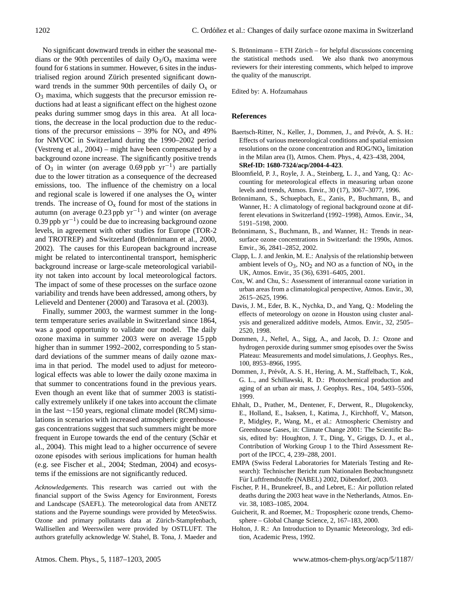No significant downward trends in either the seasonal medians or the 90th percentiles of daily  $O_3/O_x$  maxima were found for 6 stations in summer. However, 6 sites in the industrialised region around Zürich presented significant downward trends in the summer 90th percentiles of daily  $O_x$  or  $O<sub>3</sub>$  maxima, which suggests that the precursor emission reductions had at least a significant effect on the highest ozone peaks during summer smog days in this area. At all locations, the decrease in the local production due to the reductions of the precursor emissions – 39% for  $NO_x$  and 49% for NMVOC in Switzerland during the 1990–2002 period (Vestreng et al., 2004) – might have been compensated by a background ozone increase. The significantly positive trends of O<sub>3</sub> in winter (on average 0.69 ppb yr<sup>-1</sup>) are partially due to the lower titration as a consequence of the decreased emissions, too. The influence of the chemistry on a local and regional scale is lowered if one analyses the  $O_x$  winter trends. The increase of  $O_x$  found for most of the stations in autumn (on average 0.23 ppb  $yr^{-1}$ ) and winter (on average 0.39 ppb yr−<sup>1</sup> ) could be due to increasing background ozone levels, in agreement with other studies for Europe (TOR-2 and TROTREP) and Switzerland (Brönnimann et al., 2000, 2002). The causes for this European background increase might be related to intercontinental transport, hemispheric background increase or large-scale meteorological variability not taken into account by local meteorological factors. The impact of some of these processes on the surface ozone variability and trends have been addressed, among others, by Lelieveld and Dentener (2000) and Tarasova et al. (2003).

Finally, summer 2003, the warmest summer in the longterm temperature series available in Switzerland since 1864, was a good opportunity to validate our model. The daily ozone maxima in summer 2003 were on average 15 ppb higher than in summer 1992–2002, corresponding to 5 standard deviations of the summer means of daily ozone maxima in that period. The model used to adjust for meteorological effects was able to lower the daily ozone maxima in that summer to concentrations found in the previous years. Even though an event like that of summer 2003 is statistically extremely unlikely if one takes into account the climate in the last ∼150 years, regional climate model (RCM) simulations in scenarios with increased atmospheric greenhousegas concentrations suggest that such summers might be more frequent in Europe towards the end of the century (Schär et al., 2004). This might lead to a higher occurrence of severe ozone episodes with serious implications for human health (e.g. see Fischer et al., 2004; Stedman, 2004) and ecosystems if the emissions are not significantly reduced.

*Acknowledgements.* This research was carried out with the financial support of the Swiss Agency for Environment, Forests and Landscape (SAEFL). The meteorological data from ANETZ stations and the Payerne soundings were provided by MeteoSwiss. Ozone and primary pollutants data at Zürich-Stampfenbach, Wallisellen and Weerswilen were provided by OSTLUFT. The authors gratefully acknowledge W. Stahel, B. Tona, J. Maeder and S. Brönnimann – ETH Zürich – for helpful discussions concerning the statistical methods used. We also thank two anonymous reviewers for their interesting comments, which helped to improve the quality of the manuscript.

Edited by: A. Hofzumahaus

## **References**

- Baertsch-Ritter, N., Keller, J., Dommen, J., and Prévôt, A. S. H.: Effects of various meteorological conditions and spatial emission resolutions on the ozone concentration and  $\rm{ROG/NO_X}$  limitation in the Milan area (I), Atmos. Chem. Phys., 4, 423–438, 2004, **[SRef-ID: 1680-7324/acp/2004-4-423](http://direct.sref.org/1680-7324/acp/2004-4-423)**.
- Bloomfield, P. J., Royle, J. A., Steinberg, L. J., and Yang, Q.: Accounting for meteorological effects in measuring urban ozone levels and trends, Atmos. Envir., 30 (17), 3067–3077, 1996.
- Brönnimann, S., Schuepbach, E., Zanis, P., Buchmann, B., and Wanner, H.: A climatology of regional background ozone at different elevations in Switzerland (1992–1998), Atmos. Envir., 34, 5191–5198, 2000.
- Brönnimann, S., Buchmann, B., and Wanner, H.: Trends in nearsurface ozone concentrations in Switzerland: the 1990s, Atmos. Envir., 36, 2841–2852, 2002.
- Clapp, L. J. and Jenkin, M. E.: Analysis of the relationship between ambient levels of  $O_3$ ,  $NO_2$  and  $NO$  as a function of  $NO_x$  in the UK, Atmos. Envir., 35 (36), 6391–6405, 2001.
- Cox, W. and Chu, S.: Assessment of interannual ozone variation in urban areas from a climatological perspective, Atmos. Envir., 30, 2615–2625, 1996.
- Davis, J. M., Eder, B. K., Nychka, D., and Yang, Q.: Modeling the effects of meteorology on ozone in Houston using cluster analysis and generalized additive models, Atmos. Envir., 32, 2505– 2520, 1998.
- Dommen, J., Neftel, A., Sigg, A., and Jacob, D. J.: Ozone and hydrogen peroxide during summer smog episodes over the Swiss Plateau: Measurements and model simulations, J. Geophys. Res., 100, 8953–8966, 1995.
- Dommen, J., Prévôt, A. S. H., Hering, A. M., Staffelbach, T., Kok, G. L., and Schillawski, R. D.: Photochemical production and aging of an urban air mass, J. Geophys. Res., 104, 5493–5506, 1999.
- Ehhalt, D., Prather, M., Dentener, F., Derwent, R., Dlugokencky, E., Holland, E., Isaksen, I., Katima, J., Kirchhoff, V., Matson, P., Midgley, P., Wang, M., et al.: Atmospheric Chemistry and Greenhouse Gases, in: Climate Change 2001: The Scientific Basis, edited by: Houghton, J. T., Ding, Y., Griggs, D. J., et al., Contribution of Working Group 1 to the Third Assessment Report of the IPCC, 4, 239–288, 2001.
- EMPA (Swiss Federal Laboratories for Materials Testing and Research): Technischer Bericht zum Nationalen Beobachtungsnetz Für Luftfremdstoffe (NABEL) 2002, Dübendorf, 2003.
- Fischer, P. H., Brunekreef, B., and Lebret, E.: Air pollution related deaths during the 2003 heat wave in the Netherlands, Atmos. Envir. 38, 1083–1085, 2004.
- Guicherit, R. and Roemer, M.: Tropospheric ozone trends, Chemosphere – Global Change Science, 2, 167–183, 2000.
- Holton, J. R.: An Introduction to Dynamic Meteorology, 3rd edition, Academic Press, 1992.